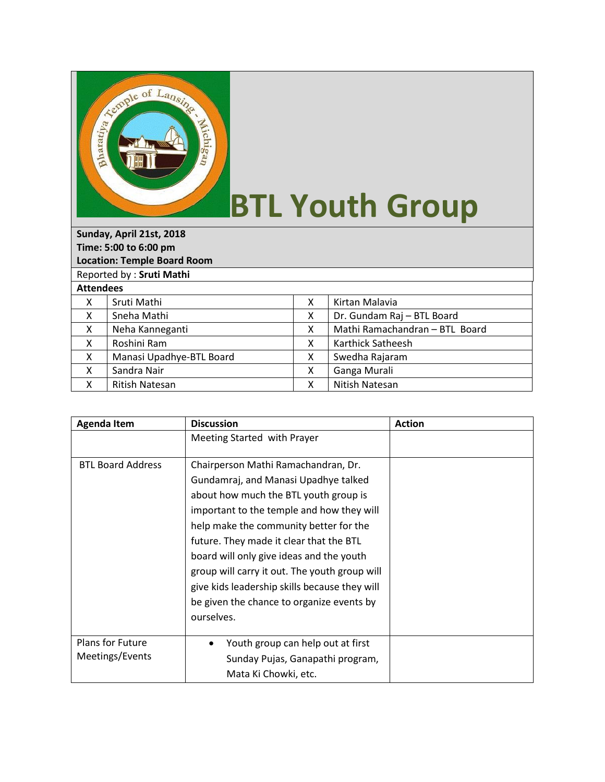

## **BTL Youth Group**

| Sunday, April 21st, 2018           |                          |   |                                |  |  |  |
|------------------------------------|--------------------------|---|--------------------------------|--|--|--|
| Time: 5:00 to 6:00 pm              |                          |   |                                |  |  |  |
| <b>Location: Temple Board Room</b> |                          |   |                                |  |  |  |
| Reported by: Sruti Mathi           |                          |   |                                |  |  |  |
| <b>Attendees</b>                   |                          |   |                                |  |  |  |
| X                                  | Sruti Mathi              | X | Kirtan Malavia                 |  |  |  |
| X                                  | Sneha Mathi              | X | Dr. Gundam Raj - BTL Board     |  |  |  |
| X                                  | Neha Kanneganti          | X | Mathi Ramachandran - BTL Board |  |  |  |
| X                                  | Roshini Ram              | X | Karthick Satheesh              |  |  |  |
| X                                  | Manasi Upadhye-BTL Board | x | Swedha Rajaram                 |  |  |  |
| X                                  | Sandra Nair              | x | Ganga Murali                   |  |  |  |
| x                                  | <b>Ritish Natesan</b>    | x | Nitish Natesan                 |  |  |  |

| <b>Agenda Item</b>                  | <b>Discussion</b>                                                                                                                                                                                                                                                                                                                                                                                                                                               | <b>Action</b> |
|-------------------------------------|-----------------------------------------------------------------------------------------------------------------------------------------------------------------------------------------------------------------------------------------------------------------------------------------------------------------------------------------------------------------------------------------------------------------------------------------------------------------|---------------|
|                                     | Meeting Started with Prayer                                                                                                                                                                                                                                                                                                                                                                                                                                     |               |
| <b>BTL Board Address</b>            | Chairperson Mathi Ramachandran, Dr.<br>Gundamraj, and Manasi Upadhye talked<br>about how much the BTL youth group is<br>important to the temple and how they will<br>help make the community better for the<br>future. They made it clear that the BTL<br>board will only give ideas and the youth<br>group will carry it out. The youth group will<br>give kids leadership skills because they will<br>be given the chance to organize events by<br>ourselves. |               |
| Plans for Future<br>Meetings/Events | Youth group can help out at first<br>٠<br>Sunday Pujas, Ganapathi program,<br>Mata Ki Chowki, etc.                                                                                                                                                                                                                                                                                                                                                              |               |